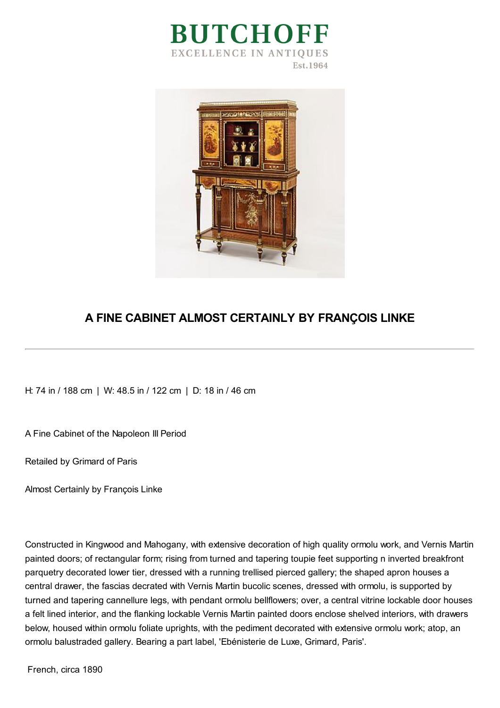



## **A FINE CABINET ALMOST CERTAINLY BY FRANÇOIS LINKE**

H: 74 in / 188 cm | W: 48.5 in / 122 cm | D: 18 in / 46 cm

A Fine Cabinet of the Napoleon III Period

Retailed by Grimard of Paris

Almost Certainly by François Linke

Constructed in Kingwood and Mahogany, with extensive decoration of high quality ormolu work, and Vernis Martin painted doors; of rectangular form; rising from turned and tapering toupie feet supporting n inverted breakfront parquetry decorated lower tier, dressed with a running trellised pierced gallery; the shaped apron houses a central drawer, the fascias decrated with Vernis Martin bucolic scenes, dressed with ormolu, is supported by turned and tapering cannellure legs, with pendant ormolu bellflowers; over, a central vitrine lockable door houses a felt lined interior, and the flanking lockable Vernis Martin painted doors enclose shelved interiors, with drawers below, housed within ormolu foliate uprights, with the pediment decorated with extensive ormolu work; atop, an ormolu balustraded gallery. Bearing a part label, 'Ebénisterie de Luxe, Grimard, Paris'.

French, circa 1890